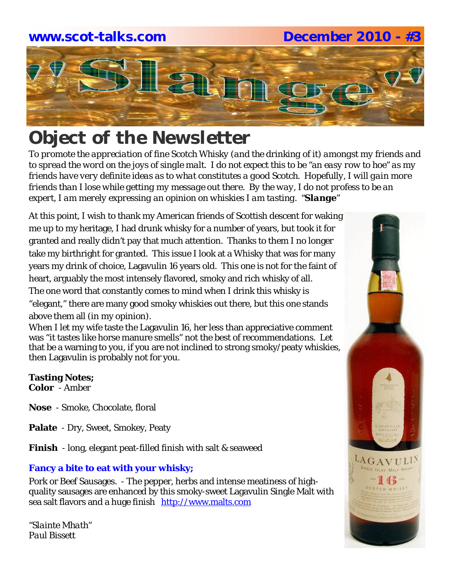## **www.scot-talks.com December 2010 - #3**Lan

### *Object of the Newsletter*

*To promote the appreciation of fine Scotch Whisky (and the drinking of it) amongst my friends and to spread the word on the joys of single malt. I do not expect this to be "an easy row to hoe" as my friends have very definite ideas as to what constitutes a good Scotch. Hopefully, I will gain more friends than I lose while getting my message out there. By the way, I do not profess to be an expert, I am merely expressing an opinion on whiskies I am tasting. "Slange"*

At this point, I wish to thank my American friends of Scottish descent for waking me up to my heritage, I had drunk whisky for a number of years, but took it for granted and really didn't pay that much attention. Thanks to them I no longer take my birthright for granted. This issue I look at a Whisky that was for many years my drink of choice, Lagavulin 16 years old. This one is not for the faint of heart, arguably the most intensely flavored, smoky and rich whisky of all. The one word that constantly comes to mind when I drink this whisky is "elegant," there are many good smoky whiskies out there, but this one stands above them all (in my opinion).

When I let my wife taste the Lagavulin 16, her less than appreciative comment was "it tastes like horse manure smells" not the best of recommendations. Let that be a warning to you, if you are not inclined to strong smoky/peaty whiskies, then Lagavulin is probably not for you.

#### **Tasting Notes;**

**Color** - Amber

- **Nose**  Smoke, Chocolate, floral
- **Palate**  Dry, Sweet, Smokey, Peaty
- **Finish**  long, elegant peat-filled finish with salt & seaweed

#### **Fancy a bite to eat with your whisky;**

Pork or Beef Sausages. - The pepper, herbs and intense meatiness of highquality sausages are enhanced by this smoky-sweet Lagavulin Single Malt with sea salt flavors and a huge finish http://www.malts.com

*"Slainte Mhath" Paul Bissett*

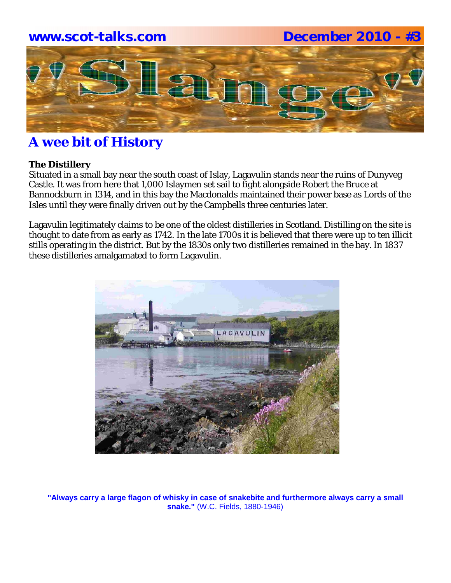# **www.scot-talks.com December 2010 - #3**1211

### **A wee bit of History**

#### **The Distillery**

Situated in a small bay near the south coast of Islay, Lagavulin stands near the ruins of Dunyveg Castle. It was from here that 1,000 Islaymen set sail to fight alongside Robert the Bruce at Bannockburn in 1314, and in this bay the Macdonalds maintained their power base as Lords of the Isles until they were finally driven out by the Campbells three centuries later.

Lagavulin legitimately claims to be one of the oldest distilleries in Scotland. Distilling on the site is thought to date from as early as 1742. In the late 1700s it is believed that there were up to ten illicit stills operating in the district. But by the 1830s only two distilleries remained in the bay. In 1837 these distilleries amalgamated to form Lagavulin.



**"Always carry a large flagon of whisky in case of snakebite and furthermore always carry a small snake."** (W.C. Fields, 1880-1946)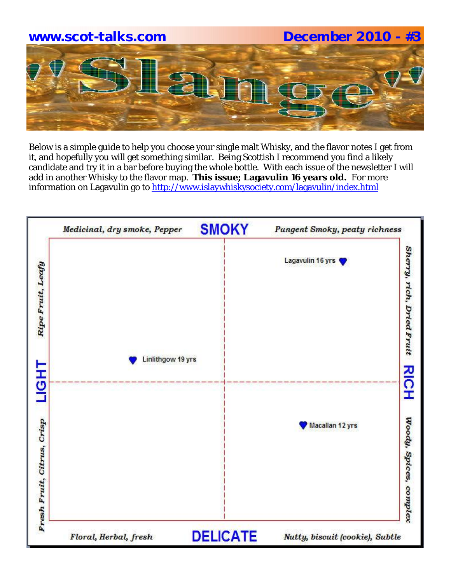

Below is a simple guide to help you choose your single malt Whisky, and the flavor notes I get from it, and hopefully you will get something similar. Being Scottish I recommend you find a likely candidate and try it in a bar before buying the whole bottle. With each issue of the newsletter I will add in another Whisky to the flavor map. **This issue; Lagavulin 16 years old.** For more information on Lagavulin go to http://www.islaywhiskysociety.com/lagavulin/index.html